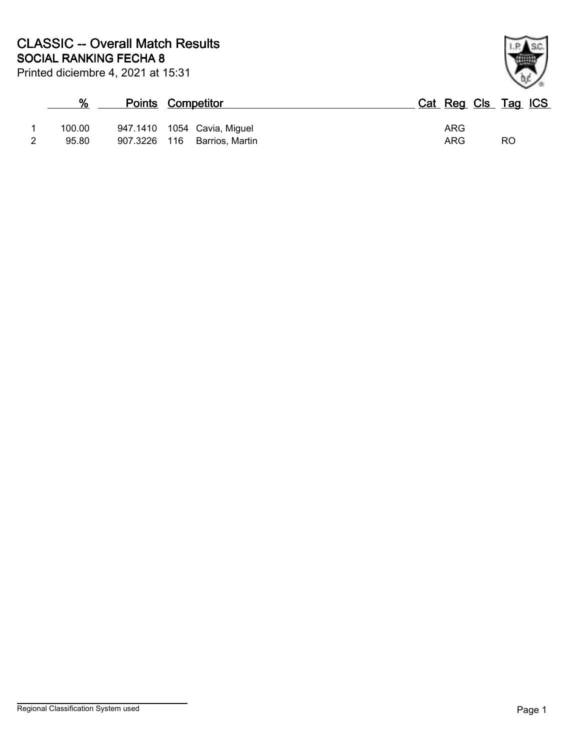|   | %      | <b>Points Competitor</b>      |     | Cat Reg Cls Tag ICS |
|---|--------|-------------------------------|-----|---------------------|
|   | 100.00 | 947.1410  1054  Cavia, Miguel | ARG |                     |
| 2 | 95.80  | 907.3226 116 Barrios, Martin  | ARG | RO                  |

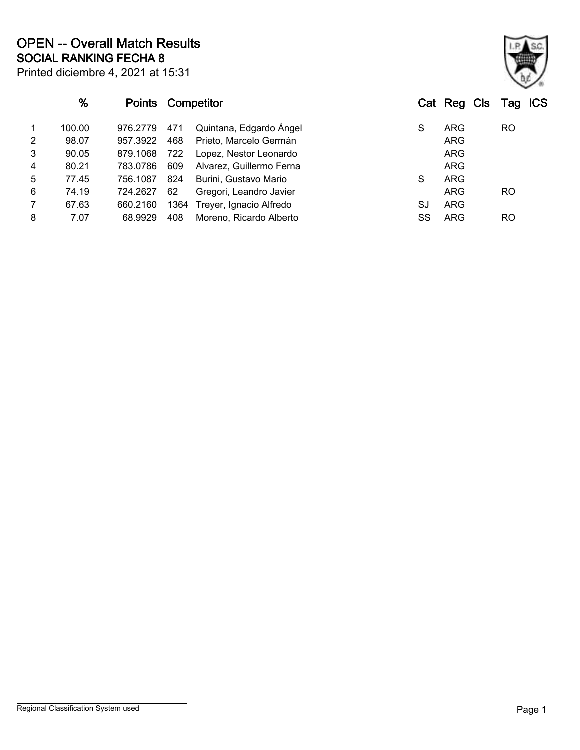|                | %<br><b>Points</b> |          | Competitor |                          |    |            | Cat Reg Cls Tag ICS |
|----------------|--------------------|----------|------------|--------------------------|----|------------|---------------------|
| 1              | 100.00             | 976.2779 | 471        | Quintana, Edgardo Ángel  | S  | <b>ARG</b> | <b>RO</b>           |
| $\overline{2}$ | 98.07              | 957.3922 | 468        | Prieto, Marcelo Germán   |    | <b>ARG</b> |                     |
| 3              | 90.05              | 879.1068 | 722        | Lopez, Nestor Leonardo   |    | <b>ARG</b> |                     |
| 4              | 80.21              | 783.0786 | 609        | Alvarez, Guillermo Ferna |    | ARG        |                     |
| 5              | 77.45              | 756.1087 | 824        | Burini, Gustavo Mario    | S  | <b>ARG</b> |                     |
| 6              | 74.19              | 724.2627 | 62         | Gregori, Leandro Javier  |    | <b>ARG</b> | <b>RO</b>           |
| $\overline{7}$ | 67.63              | 660.2160 | 1364       | Treyer, Ignacio Alfredo  | SJ | <b>ARG</b> |                     |
| 8              | 7.07               | 68.9929  | 408        | Moreno, Ricardo Alberto  | SS | <b>ARG</b> | <b>RO</b>           |
|                |                    |          |            |                          |    |            |                     |

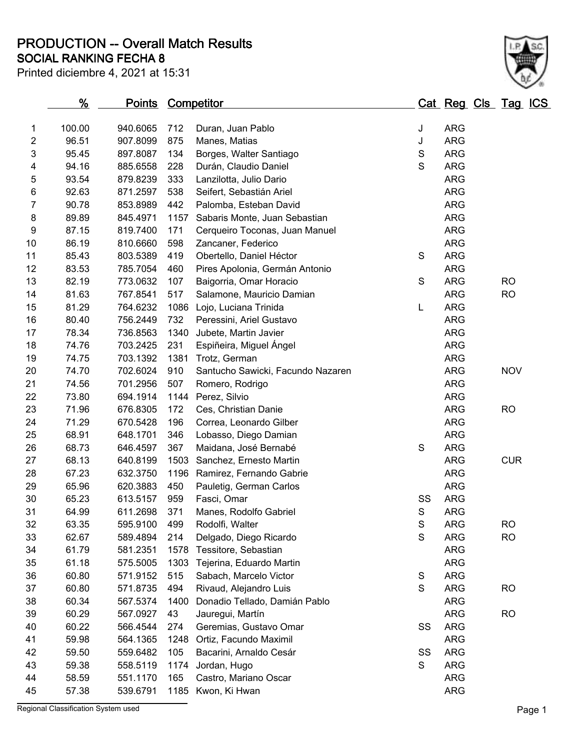**SOCIAL RANKING FECHA 8 PRODUCTION -- Overall Match Results**

| Printed diciembre 4, 2021 at 15:31 |  |
|------------------------------------|--|
|------------------------------------|--|



|                     | <u>%</u> | <b>Points Competitor</b> |      |                                                         |             | <u>Cat Reg Cls Tag ICS</u> |            |
|---------------------|----------|--------------------------|------|---------------------------------------------------------|-------------|----------------------------|------------|
|                     | 100.00   | 940.6065                 | 712  | Duran, Juan Pablo                                       |             | <b>ARG</b>                 |            |
| 1<br>$\overline{2}$ | 96.51    | 907.8099                 | 875  |                                                         | J           | <b>ARG</b>                 |            |
| 3                   | 95.45    | 897.8087                 | 134  | Manes, Matias<br>Borges, Walter Santiago                | J<br>S      | <b>ARG</b>                 |            |
|                     | 94.16    | 885.6558                 | 228  |                                                         | S           | <b>ARG</b>                 |            |
| 4<br>5              | 93.54    | 879.8239                 | 333  | Durán, Claudio Daniel                                   |             | <b>ARG</b>                 |            |
| 6                   | 92.63    | 871.2597                 | 538  | Lanzilotta, Julio Dario<br>Seifert, Sebastián Ariel     |             | <b>ARG</b>                 |            |
| 7                   | 90.78    | 853.8989                 | 442  |                                                         |             | <b>ARG</b>                 |            |
| 8                   | 89.89    | 845.4971                 | 1157 | Palomba, Esteban David<br>Sabaris Monte, Juan Sebastian |             | <b>ARG</b>                 |            |
| 9                   | 87.15    | 819.7400                 | 171  | Cerqueiro Toconas, Juan Manuel                          |             | <b>ARG</b>                 |            |
| 10                  | 86.19    | 810.6660                 | 598  | Zancaner, Federico                                      |             | <b>ARG</b>                 |            |
| 11                  | 85.43    | 803.5389                 | 419  | Obertello, Daniel Héctor                                | S           | <b>ARG</b>                 |            |
| 12                  | 83.53    | 785.7054                 | 460  |                                                         |             | <b>ARG</b>                 |            |
| 13                  | 82.19    | 773.0632                 | 107  | Pires Apolonia, Germán Antonio                          | $\mathsf S$ | <b>ARG</b>                 | <b>RO</b>  |
| 14                  | 81.63    | 767.8541                 | 517  | Baigorria, Omar Horacio<br>Salamone, Mauricio Damian    |             | <b>ARG</b>                 | <b>RO</b>  |
| 15                  | 81.29    | 764.6232                 | 1086 | Lojo, Luciana Trinida                                   | L           | <b>ARG</b>                 |            |
| 16                  | 80.40    | 756.2449                 | 732  | Peressini, Ariel Gustavo                                |             | <b>ARG</b>                 |            |
| 17                  | 78.34    | 736.8563                 | 1340 | Jubete, Martin Javier                                   |             | <b>ARG</b>                 |            |
| 18                  | 74.76    | 703.2425                 | 231  | Espiñeira, Miguel Ángel                                 |             | <b>ARG</b>                 |            |
| 19                  | 74.75    | 703.1392                 | 1381 | Trotz, German                                           |             | <b>ARG</b>                 |            |
| 20                  | 74.70    | 702.6024                 | 910  | Santucho Sawicki, Facundo Nazaren                       |             | <b>ARG</b>                 | <b>NOV</b> |
| 21                  | 74.56    | 701.2956                 | 507  | Romero, Rodrigo                                         |             | <b>ARG</b>                 |            |
| 22                  | 73.80    | 694.1914                 | 1144 | Perez, Silvio                                           |             | <b>ARG</b>                 |            |
| 23                  | 71.96    | 676.8305                 | 172  | Ces, Christian Danie                                    |             | <b>ARG</b>                 | <b>RO</b>  |
| 24                  | 71.29    | 670.5428                 | 196  | Correa, Leonardo Gilber                                 |             | <b>ARG</b>                 |            |
| 25                  | 68.91    | 648.1701                 | 346  | Lobasso, Diego Damian                                   |             | <b>ARG</b>                 |            |
| 26                  | 68.73    | 646.4597                 | 367  | Maidana, José Bernabé                                   | S           | <b>ARG</b>                 |            |
| 27                  | 68.13    | 640.8199                 | 1503 | Sanchez, Ernesto Martin                                 |             | <b>ARG</b>                 | <b>CUR</b> |
| 28                  | 67.23    | 632.3750                 | 1196 | Ramirez, Fernando Gabrie                                |             | <b>ARG</b>                 |            |
| 29                  | 65.96    | 620.3883                 | 450  | Pauletig, German Carlos                                 |             | <b>ARG</b>                 |            |
| 30                  | 65.23    | 613.5157                 | 959  | Fasci, Omar                                             | SS          | <b>ARG</b>                 |            |
| 31                  | 64.99    | 611.2698                 | 371  | Manes, Rodolfo Gabriel                                  | S           | <b>ARG</b>                 |            |
| 32                  | 63.35    | 595.9100                 | 499  | Rodolfi, Walter                                         | S           | <b>ARG</b>                 | <b>RO</b>  |
| 33                  | 62.67    | 589.4894                 | 214  | Delgado, Diego Ricardo                                  | S           | <b>ARG</b>                 | <b>RO</b>  |
| 34                  | 61.79    | 581.2351                 | 1578 | Tessitore, Sebastian                                    |             | <b>ARG</b>                 |            |
| 35                  | 61.18    | 575.5005                 | 1303 | Tejerina, Eduardo Martin                                |             | <b>ARG</b>                 |            |
| 36                  | 60.80    | 571.9152                 | 515  | Sabach, Marcelo Victor                                  | $\mathbf S$ | <b>ARG</b>                 |            |
| 37                  | 60.80    | 571.8735                 | 494  | Rivaud, Alejandro Luis                                  | S           | <b>ARG</b>                 | <b>RO</b>  |
| 38                  | 60.34    | 567.5374                 | 1400 | Donadio Tellado, Damián Pablo                           |             | <b>ARG</b>                 |            |
| 39                  | 60.29    | 567.0927                 | 43   | Jauregui, Martín                                        |             | <b>ARG</b>                 | <b>RO</b>  |
| 40                  | 60.22    | 566.4544                 | 274  | Geremias, Gustavo Omar                                  | SS          | <b>ARG</b>                 |            |
| 41                  | 59.98    | 564.1365                 | 1248 | Ortiz, Facundo Maximil                                  |             | <b>ARG</b>                 |            |
| 42                  | 59.50    | 559.6482                 | 105  | Bacarini, Arnaldo Cesár                                 | SS          | <b>ARG</b>                 |            |
| 43                  | 59.38    | 558.5119                 | 1174 | Jordan, Hugo                                            | $\mathsf S$ | <b>ARG</b>                 |            |
| 44                  | 58.59    | 551.1170                 | 165  | Castro, Mariano Oscar                                   |             | <b>ARG</b>                 |            |
| 45                  | 57.38    | 539.6791                 |      | 1185 Kwon, Ki Hwan                                      |             | <b>ARG</b>                 |            |
|                     |          |                          |      |                                                         |             |                            |            |

Regional Classification System used **Page 1**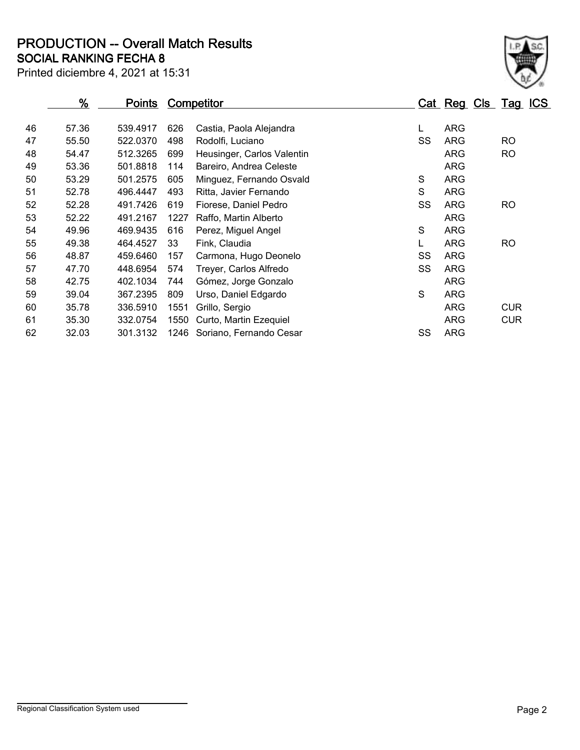**SOCIAL RANKING FECHA 8 PRODUCTION -- Overall Match Results**

| Printed diciembre 4, 2021 at 15:31 |  |
|------------------------------------|--|
|------------------------------------|--|

|    | <u>%</u> | <u>Points</u> |      | <b>Competitor</b>          |    | <u>Cat Reg Cls Tag ICS</u> |            |  |
|----|----------|---------------|------|----------------------------|----|----------------------------|------------|--|
|    |          |               |      |                            |    |                            |            |  |
| 46 | 57.36    | 539.4917      | 626  | Castia, Paola Alejandra    | L  | ARG                        |            |  |
| 47 | 55.50    | 522.0370      | 498  | Rodolfi, Luciano           | SS | <b>ARG</b>                 | <b>RO</b>  |  |
| 48 | 54.47    | 512.3265      | 699  | Heusinger, Carlos Valentin |    | ARG                        | <b>RO</b>  |  |
| 49 | 53.36    | 501.8818      | 114  | Bareiro, Andrea Celeste    |    | <b>ARG</b>                 |            |  |
| 50 | 53.29    | 501.2575      | 605  | Minguez, Fernando Osvald   | S  | <b>ARG</b>                 |            |  |
| 51 | 52.78    | 496.4447      | 493  | Ritta, Javier Fernando     | S  | <b>ARG</b>                 |            |  |
| 52 | 52.28    | 491.7426      | 619  | Fiorese, Daniel Pedro      | SS | <b>ARG</b>                 | <b>RO</b>  |  |
| 53 | 52.22    | 491.2167      | 1227 | Raffo, Martin Alberto      |    | ARG                        |            |  |
| 54 | 49.96    | 469.9435      | 616  | Perez, Miguel Angel        | S  | <b>ARG</b>                 |            |  |
| 55 | 49.38    | 464.4527      | 33   | Fink, Claudia              |    | ARG                        | <b>RO</b>  |  |
| 56 | 48.87    | 459.6460      | 157  | Carmona, Hugo Deonelo      | SS | <b>ARG</b>                 |            |  |
| 57 | 47.70    | 448.6954      | 574  | Treyer, Carlos Alfredo     | SS | <b>ARG</b>                 |            |  |
| 58 | 42.75    | 402.1034      | 744  | Gómez, Jorge Gonzalo       |    | <b>ARG</b>                 |            |  |
| 59 | 39.04    | 367.2395      | 809  | Urso, Daniel Edgardo       | S  | <b>ARG</b>                 |            |  |
| 60 | 35.78    | 336.5910      | 1551 | Grillo, Sergio             |    | ARG                        | <b>CUR</b> |  |
| 61 | 35.30    | 332.0754      | 1550 | Curto, Martin Ezequiel     |    | ARG                        | <b>CUR</b> |  |
| 62 | 32.03    | 301.3132      | 1246 | Soriano, Fernando Cesar    | SS | ARG                        |            |  |
|    |          |               |      |                            |    |                            |            |  |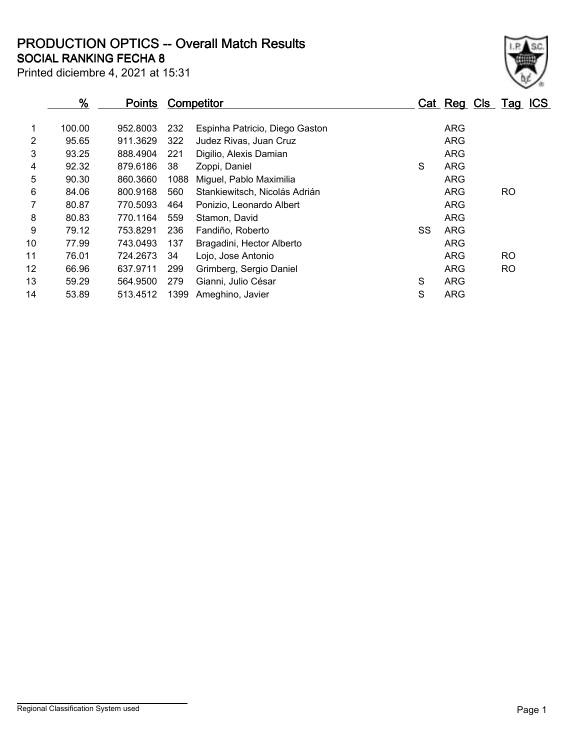**SOCIAL RANKING FECHA 8 PRODUCTION OPTICS -- Overall Match Results**

Printed diciembre 4, 2021 at 15:31

### **% Points Competitor Cat Reg Cls Tag ICS** 1 100.00 952.8003 232 Espinha Patricio, Diego Gaston ARG 2 95.65 911.3629 322 Judez Rivas, Juan Cruz ARG 3 93.25 888.4904 221 Digilio, Alexis Damian ARG 4 92.32 879.6186 38 Zoppi, Daniel S ARG 5 90.30 860.3660 1088 Miguel, Pablo Maximilia ARG 6 84.06 800.9168 560 Stankiewitsch, Nicolás Adrián Andreas Arg ARG RO 7 80.87 770.5093 464 Ponizio, Leonardo Albert ARG 8 80.83 770.1164 559 Stamon, David ARG 80.83 ARG 9 79.12 753.8291 236 Fandiño, Roberto SS ARG 10 77.99 743.0493 137 Bragadini, Hector Alberto **ARG** 11 76.01 724.2673 34 Lojo, Jose Antonio ARG RO 12 66.96 637.9711 299 Grimberg, Sergio Daniel ARG RO 13 59.29 564.9500 279 Gianni, Julio César S ARG 14 53.89 513.4512 1399 Ameghino, Javier S ARG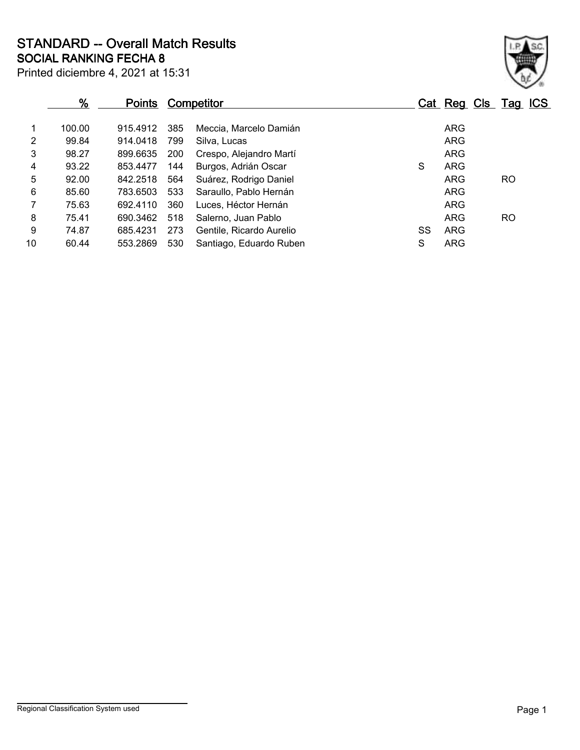Printed diciembre 4, 2021 at 15:31 **SOCIAL RANKING FECHA 8 STANDARD -- Overall Match Results**

|                | %      | <b>Points</b> |     | <b>Competitor</b>        |    |            | Cat Reg Cls Tag ICS |
|----------------|--------|---------------|-----|--------------------------|----|------------|---------------------|
| 1              | 100.00 | 915.4912      | 385 | Meccia, Marcelo Damián   |    | <b>ARG</b> |                     |
| $\overline{2}$ | 99.84  | 914.0418      | 799 | Silva, Lucas             |    | <b>ARG</b> |                     |
| 3              | 98.27  | 899.6635      | 200 | Crespo, Alejandro Martí  |    | <b>ARG</b> |                     |
| 4              | 93.22  | 853.4477      | 144 | Burgos, Adrián Oscar     | S  | <b>ARG</b> |                     |
| 5              | 92.00  | 842.2518      | 564 | Suárez, Rodrigo Daniel   |    | <b>ARG</b> | RO.                 |
| 6              | 85.60  | 783.6503      | 533 | Saraullo, Pablo Hernán   |    | ARG        |                     |
| $\overline{7}$ | 75.63  | 692.4110      | 360 | Luces, Héctor Hernán     |    | <b>ARG</b> |                     |
| 8              | 75.41  | 690.3462      | 518 | Salerno, Juan Pablo      |    | ARG        | <b>RO</b>           |
| 9              | 74.87  | 685.4231      | 273 | Gentile, Ricardo Aurelio | SS | <b>ARG</b> |                     |
| 10             | 60.44  | 553.2869      | 530 | Santiago, Eduardo Ruben  | S  | ARG        |                     |
|                |        |               |     |                          |    |            |                     |